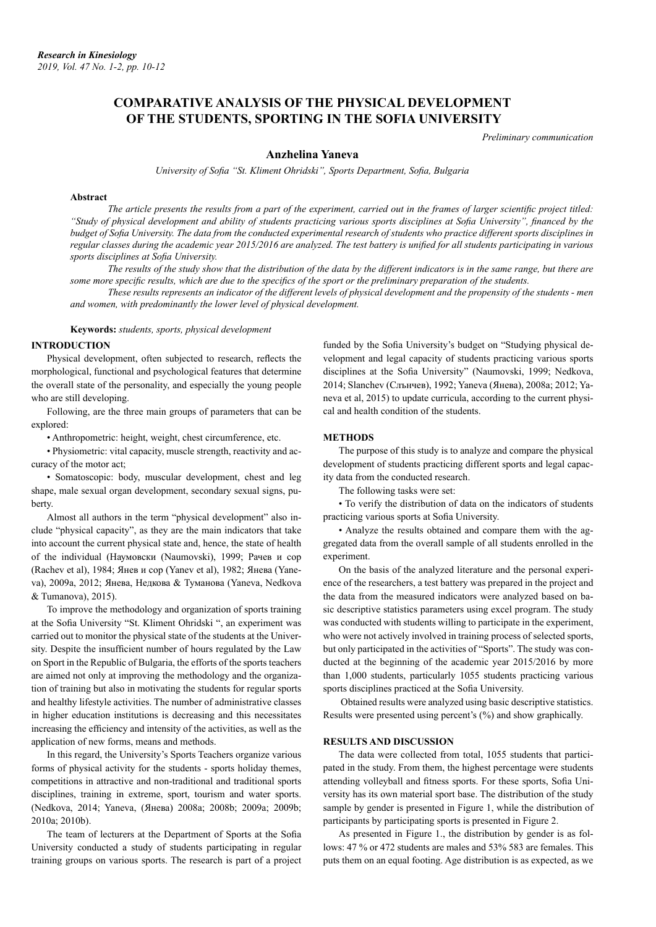# **COMPARATIVE ANALYSIS OF THE PHYSICAL DEVELOPMENT OF THE STUDENTS, SPORTING IN THE SOFIA UNIVERSITY**

*Preliminary communication*

# **Anzhelina Yaneva**

*University of Sofia "St. Kliment Ohridski", Sports Department, Sofia, Bulgaria*

### **Abstract**

*The article presents the results from a part of the experiment, carried out in the frames of larger scientific project titled: "Study of physical development and ability of students practicing various sports disciplines at Sofia University", financed by the budget of Sofia University. The data from the conducted experimental research of students who practice different sports disciplines in regular classes during the academic year 2015/2016 are analyzed. The test battery is unified for all students participating in various sports disciplines at Sofia University.*

*The results of the study show that the distribution of the data by the different indicators is in the same range, but there are some more specific results, which are due to the specifics of the sport or the preliminary preparation of the students.*

*These results represents an indicator of the different levels of physical development and the propensity of the students - men and women, with predominantly the lower level of physical development.*

**Keywords:** *students, sports, physical development*

#### **INTRODUCTION**

Physical development, often subjected to research, reflects the morphological, functional and psychological features that determine the overall state of the personality, and especially the young people who are still developing.

Following, are the three main groups of parameters that can be explored:

• Anthropometric: height, weight, chest circumference, etc.

• Physiometric: vital capacity, muscle strength, reactivity and accuracy of the motor act;

• Somatoscopic: body, muscular development, chest and leg shape, male sexual organ development, secondary sexual signs, puberty.

Almost all authors in the term "physical development" also include "physical capacity", as they are the main indicators that take into account the current physical state and, hence, the state of health of the individual (Наумовски (Naumovski), 1999; Рачев и сор (Rachev et al), 1984; Янев и сор (Yanev et al), 1982; Янева (Yaneva), 2009a, 2012; Янева, Недкова & Туманова (Yaneva, Nedkova & Tumanova), 2015).

To improve the methodology and organization of sports training at the Sofia University "St. Kliment Ohridski ", an experiment was carried out to monitor the physical state of the students at the University. Despite the insufficient number of hours regulated by the Law on Sport in the Republic of Bulgaria, the efforts of the sports teachers are aimed not only at improving the methodology and the organization of training but also in motivating the students for regular sports and healthy lifestyle activities. The number of administrative classes in higher education institutions is decreasing and this necessitates increasing the efficiency and intensity of the activities, as well as the application of new forms, means and methods.

In this regard, the University's Sports Teachers organize various forms of physical activity for the students - sports holiday themes, competitions in attractive and non-traditional and traditional sports disciplines, training in extreme, sport, tourism and water sports. (Nedkova, 2014; Yaneva, (Янева) 2008a; 2008b; 2009a; 2009b; 2010a; 2010b).

The team of lecturers at the Department of Sports at the Sofia University conducted a study of students participating in regular training groups on various sports. The research is part of a project

funded by the Sofia University's budget on "Studying physical development and legal capacity of students practicing various sports disciplines at the Sofia University" (Naumovski, 1999; Nedkova, 2014; Slanchev (Слънчев), 1992; Yaneva (Янева), 2008a; 2012; Yaneva et al, 2015) to update curricula, according to the current physical and health condition of the students.

#### **METHODS**

The purpose of this study is to analyze and compare the physical development of students practicing different sports and legal capacity data from the conducted research.

The following tasks were set:

• To verify the distribution of data on the indicators of students practicing various sports at Sofia University.

• Analyze the results obtained and compare them with the aggregated data from the overall sample of all students enrolled in the experiment.

On the basis of the analyzed literature and the personal experience of the researchers, a test battery was prepared in the project and the data from the measured indicators were analyzed based on basic descriptive statistics parameters using excel program. The study was conducted with students willing to participate in the experiment, who were not actively involved in training process of selected sports, but only participated in the activities of "Sports". The study was conducted at the beginning of the academic year 2015/2016 by more than 1,000 students, particularly 1055 students practicing various sports disciplines practiced at the Sofia University.

 Obtained results were analyzed using basic descriptive statistics. Results were presented using percent's (%) and show graphically.

# **RESULTS AND DISCUSSION**

The data were collected from total, 1055 students that participated in the study. From them, the highest percentage were students attending volleyball and fitness sports. For these sports, Sofia University has its own material sport base. The distribution of the study sample by gender is presented in Figure 1, while the distribution of participants by participating sports is presented in Figure 2.

As presented in Figure 1., the distribution by gender is as follows: 47 % or 472 students are males and 53% 583 are females. This puts them on an equal footing. Age distribution is as expected, as we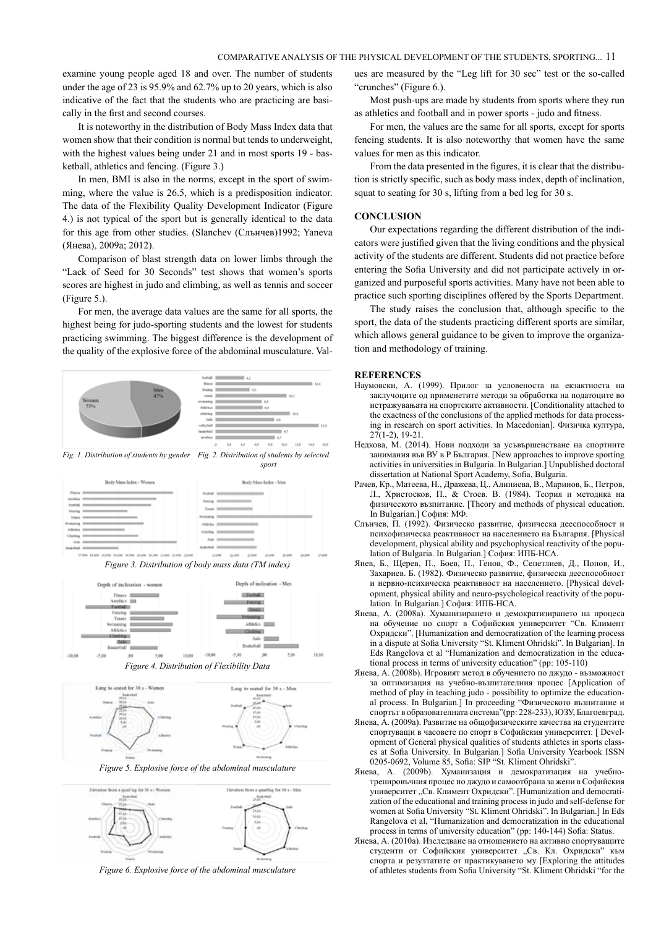examine young people aged 18 and over. The number of students under the age of 23 is 95.9% and 62.7% up to 20 years, which is also indicative of the fact that the students who are practicing are basically in the first and second courses.

It is noteworthy in the distribution of Body Mass Index data that women show that their condition is normal but tends to underweight, with the highest values being under 21 and in most sports 19 - basketball, athletics and fencing. (Figure 3.)

In men, BMI is also in the norms, except in the sport of swimming, where the value is 26.5, which is a predisposition indicator. The data of the Flexibility Quality Development Indicator (Figure 4.) is not typical of the sport but is generally identical to the data for this age from other studies. (Slanchev (Слънчев)1992; Yaneva (Янева), 2009a; 2012).

Comparison of blast strength data on lower limbs through the "Lack of Seed for 30 Seconds" test shows that women's sports scores are highest in judo and climbing, as well as tennis and soccer (Figure 5.).

For men, the average data values are the same for all sports, the highest being for judo-sporting students and the lowest for students practicing swimming. The biggest difference is the development of the quality of the explosive force of the abdominal musculature. Val-



*Fig. 1. Distribution of students by gender Fig. 2. Distribution of students by selected* 











*Figure 5. Explosive force of the abdominal musculature*



*Figure 6. Explosive force of the abdominal musculature*

ues are measured by the "Leg lift for 30 sec" test or the so-called "crunches" (Figure 6.).

Most push-ups are made by students from sports where they run as athletics and football and in power sports - judo and fitness.

For men, the values are the same for all sports, except for sports fencing students. It is also noteworthy that women have the same values for men as this indicator.

From the data presented in the figures, it is clear that the distribution is strictly specific, such as body mass index, depth of inclination, squat to seating for 30 s, lifting from a bed leg for 30 s.

# **CONCLUSION**

Our expectations regarding the different distribution of the indicators were justified given that the living conditions and the physical activity of the students are different. Students did not practice before entering the Sofia University and did not participate actively in organized and purposeful sports activities. Many have not been able to practice such sporting disciplines offered by the Sports Department.

The study raises the conclusion that, although specific to the sport, the data of the students practicing different sports are similar, which allows general guidance to be given to improve the organization and methodology of training.

# **REFERENCES**

- Наумовски, А. (1999). Прилог за условеноста на екзактноста на заклучоците од применетите методи за обработка на податоците во истражувањата на спортските активности. [Conditionality attached to the exactness of the conclusions of the applied methods for data processing in research on sport activities. In Macedonian]. Физичка култура,  $27(1-2)$ , 19-21.
- Недкова, М. (2014). Нови подходи за усъвършенстване на спортните занимания във ВУ в Р България. [New approaches to improve sporting activities in universities in Bulgaria. In Bulgarian.] Unpublished doctoral dissertation at National Sport Academy, Sofia, Bulgaria.
- Рачев, Кр., Матеева, Н., Дражева, Ц., Алипиева, В., Маринов, Б., Петров, Л., Христосков, П., & Стоев. В. (1984). Теория и методика на физическото възпитание. [Theory and methods of physical education. In Bulgarian.] София: МФ.
- Слънчев, П. (1992). Физическо развитие, физическа дееспособност и психофизическа реактивност на населението на България. [Physical development, physical ability and psychophysical reactivity of the population of Bulgaria. In Bulgarian.] София: ИПБ-НСА.
- Янев, Б., Щерев, П., Боев, П., Генов, Ф., Сепетлиев, Д., Попов, И., Захариев. Б. (1982). Физическо развитие, физическа дееспособност и нервно-психическа реактивност на населението. [Physical development, physical ability and neuro-psychological reactivity of the population. In Bulgarian.] София: ИПБ-НСА.
- Янева, А. (2008a). Хуманизирането и демократизирането на процеса на обучение по спорт в Софийския университет "Св. Климент Охридски". [Humanization and democratization of the learning process in a dispute at Sofia University "St. Kliment Ohridski". In Bulgarian]. In Eds Rangelova et al "Humanization and democratization in the educational process in terms of university education" (pp: 105-110)
- Янева, А. (2008b). Игровият метод в обучението по джудо възможност за оптимизация на учебно-възпитателния процес [Application of method of play in teaching judo - possibility to optimize the educational process. In Bulgarian.] In proceeding "Физическото възпитание и спортът в образователната система"(pp: 228-233), ЮЗУ, Благоевград.
- Янева, А. (2009a). Развитие на общофизическите качества на студентите спортуващи в часовете по спорт в Софийския университет. [ Development of General physical qualities of students athletes in sports classes at Sofia University. In Bulgarian.] Sofia University Yearbook ISSN 0205-0692, Volume 85, Sofia: SIP "St. Kliment Ohridski".
- Янева, А. (2009b). Хуманизация и демократизация на учебнотренировъчния процес по джудо и самоотбрана за жени в Софийския университет "Св. Климент Охридски". [Humanization and democratization of the educational and training process in judo and self-defense for women at Sofia University "St. Kliment Ohridski". In Bulgarian.] In Eds Rangelova et al, "Humanization and democratization in the educational process in terms of university education" (pp: 140-144) Sofia: Status.
- Янева, А. (2010a). Изследване на отношението на активно спортуващите студенти от Софийския университет "Св. Кл. Охридски" към спорта и резултатите от практикуването му [Exploring the attitudes of athletes students from Sofia University "St. Kliment Ohridski "for the